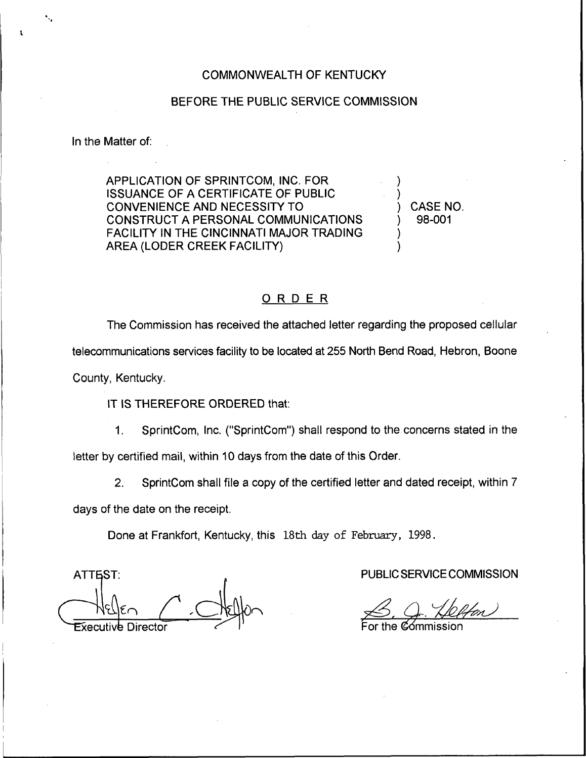## COMMONWEALTH OF KENTUCKY

## BEFORE THE PUBLIC SERVICE COMMISSION

In the Matter of:

APPLICATION OF SPRINTCOM, INC. FOR ISSUANCE OF A CERTIFICATE OF PUBLIC CONVENIENCE AND NECESSITY TO CONSTRUCT A PERSONAL COMMUNICATIONS FACILITY IN THE CINCINNATI MAJOR TRADING AREA (LODER CREEK FACILITY)

) CASE NO. ) 98-001

) )

) )

## ORDER

The Commission has received the attached letter regarding the proposed cellular telecommunications services facility to be located at 255 North Bend Road, Hebron, Boone County, Kentucky.

IT IS THEREFORE ORDERED that:

1. SprintCom, Inc. ("SprintCom") shall respond to the concerns stated in the letter by certified mail, within 10 days from the date of this Order.

2. SprintCom shall file a copy of the certified letter and dated receipt, within 7

days of the date on the receipt.

Done at Frankfort, Kentucky, this 18th day of February, 1998.

ATTEST: Directo

PUBLIC SERVICE COMMISSION

 $\mathop{\mathsf{For}}\nolimits$  the  $\mathop{\mathsf{\mathfrak{C}Commiss}}\nolimits$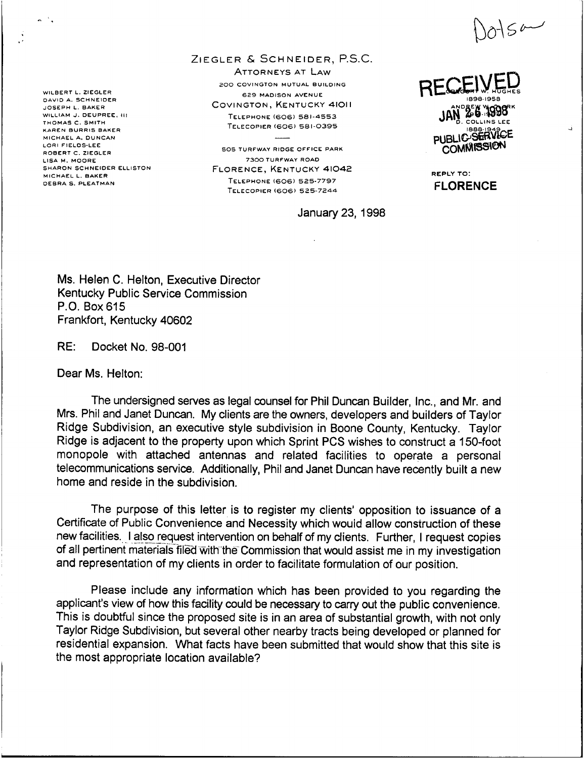WILBERT L. ZIEGLER DAVID A. SCHNEIDER JOSEPH L. BAKER WILLIAM J. DEUPREE. 111 THOMAS C. SMITH KAREN BURRIS BAKER MICHAEL A. DUNCAN LORI FIELDS-LEE ROBERT C. ZIEGLER LISA M. MOORE SHARON SCHNEIDER ELLISTON MICHAEL L. BAKER DEBRA S. PLEATMAN

ZIEGLER & SCHNEIDER, P.S.C.

ATTORNEYS AT LAW 200 COVINGTON MUTUAL BUILDING 629 MADISON AVENUE COVINGTON, KENTUCKY 41011 TELEPHONE (606) 581-4553 TELECOPIER (606) 581-0395

505 TURFWAY RIDGE OFFICE PARK 7300 TURFWAY ROAD FLORENCE, KENTUCKY 4IO42 TELEPHONE (606) 525-7797 TELECOPIER (606) 525-7244



 $0015cm$ 

ني

REPLY TO: FLORENCE

January 23, 1998

Ms. Helen C. Helton, Executive Director Kentucky Public Service Commission P.O. Box 615 Frankfort, Kentucky 40602

RE: Docket No. 98-001

Dear Ms. Helton:

The undersigned serves as legal counsel for Phil Duncan Builder, Inc., and Mr. and Mrs. Phil and Janet Duncan. My clients are the owners, developers and builders of Taylor Ridge Subdivision, an executive style subdivision in Boone County, Kentucky. Taylor Ridge is adjacent to the property upon which Sprint PCS wishes to construct a 150-foot monopole with attached antennas and related facilities to operate a personal telecommunications service. Additionally, Phil and Janet Duncan have recently built a new home and reside in the subdivision.

The purpose of this letter is to register my clients' opposition to issuance of a Certificate of Public Convenience and Necessity which wouid allow construction of these new facilities. <sup>I</sup> also request intervention on behalf of my clients. Further, <sup>I</sup> request copies of all pertinent materials filed with the COmmission that would assist me in my investigation and representation of my clients in order to facilitate formulation of our position.

Please include any information which has been provided to you regarding the applicant's view of how this facility could be necessary to carry out the public convenience. This is doubtful since the proposed site is in an area of substantial growth, with not only Taylor Ridge Subdivision, but several other nearby tracts being developed or planned for residential expansion. What facts have been submitted that would show that this site is the most appropriate location available?